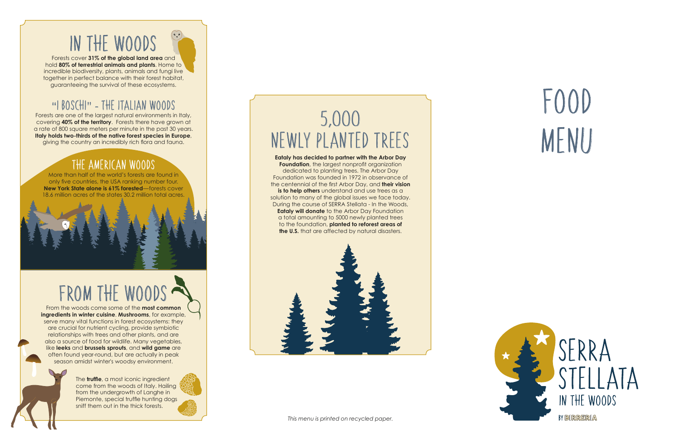## IN THE WOODS

Forests cover **31% of the global land area** and hold **80% of terrestrial animals and plants**. Home to incredible biodiversity, plants, animals and fungi live together in perfect balance with their forest habitat, guaranteeing the survival of these ecosystems.

## "I BOSCHI" - THE ITALIAN WOODS

Forests are one of the largest natural environments in Italy, covering **40% of the territory**. Forests there have grown at a rate of 800 square meters per minute in the past 30 years. **Italy holds two-thirds of the native forest species in Europe**, giving the country an incredibly rich flora and fauna.

### THE AMERICAN WOODS

More than half of the world's forests are found in only five countries, the USA ranking number four. **New York State alone is 61% forested**—forests cover 18.6 million acres of the states 30.2 million total acres.

# FROM THE WOODS .

From the woods come some of the **most common ingredients in winter cuisine**. **Mushrooms**, for example, serve many vital functions in forest ecosystems: they are crucial for nutrient cycling, provide symbiotic relationships with trees and other plants, and are also a source of food for wildlife. Many vegetables, like **leeks** and **brussels sprouts**, and **wild game** are often found year-round, but are actually in peak season amidst winter's woodsy environment.

> The **truffle**, a most iconic ingredient come from the woods of Italy. Hailing from the undergrowth of Langhe in Piemonte, special truffle hunting dogs sniff them out in the thick forests.

## 5 ,000 NEWLY PLANTED TREES

**Eataly has decided to partner with the Arbor Day** 

**Foundation**, the largest nonprofit organization dedicated to planting trees. The Arbor Day Foundation was founded in 1972 in observance of the centennial of the first Arbor Day, and **their vision is to help others** understand and use trees as a solution to many of the global issues we face today. During the course of SERRA Stellata - In the Woods, **Eataly will donate** to the Arbor Day Foundation a total amounting to 5000 newly planted trees to the foundation, **planted to reforest areas of the U.S.** that are affected by natural disasters.



# FOOD MENU



SERRA IN THE WOODS

BY BIRRERIA